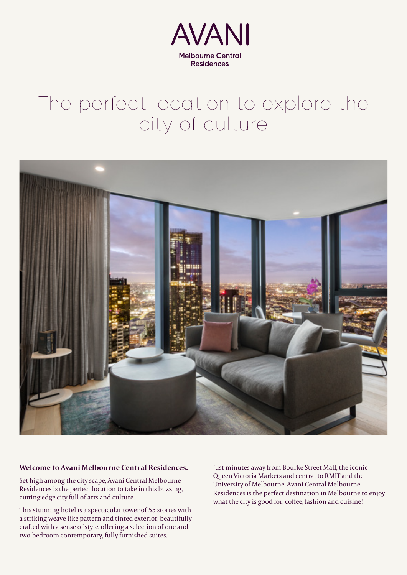

#### The perfect location to explore the city of culture



#### **Welcome to Avani Melbourne Central Residences.**

Set high among the city scape, Avani Central Melbourne Residences is the perfect location to take in this buzzing, cutting edge city full of arts and culture.

This stunning hotel is a spectacular tower of 55 stories with a striking weave-like pattern and tinted exterior, beautifully crafted with a sense of style, offering a selection of one and two-bedroom contemporary, fully furnished suites.

Just minutes away from Bourke Street Mall, the iconic Queen Victoria Markets and central to RMIT and the University of Melbourne, Avani Central Melbourne Residences is the perfect destination in Melbourne to enjoy what the city is good for, coffee, fashion and cuisine!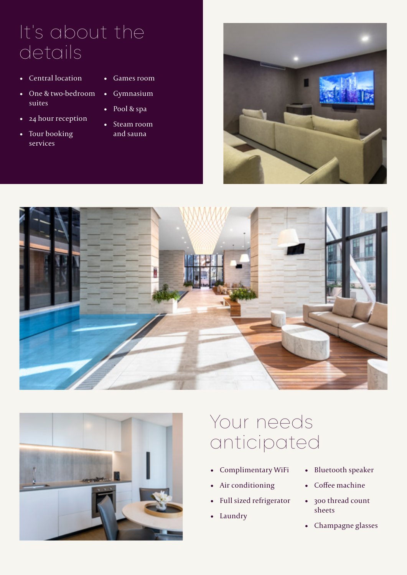### It's about the details

- Central location
- One & two-bedroom suites
- 24 hour reception
- Tour booking services
- Games room • Gymnasium
- Pool & spa
- 
- Steam room and sauna







## Your needs anticipated

- Complimentary WiFi
- Air conditioning
- Full sized refrigerator
- Laundry
- Bluetooth speaker
- Coffee machine
- 300 thread count sheets
- Champagne glasses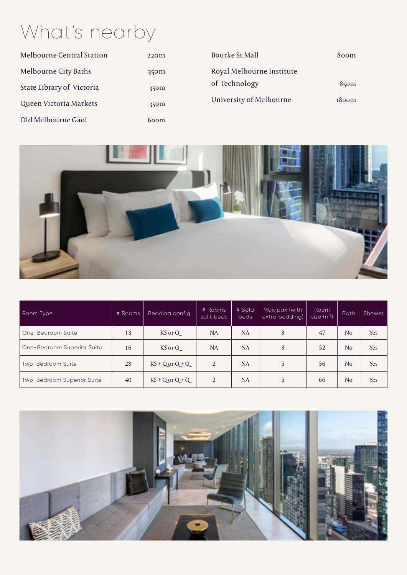# What's nearby

| <b>Melbourne Central Station</b> | 220 <sub>m</sub> | <b>Bourke St Mall</b>     | 800 <sub>m</sub>  |
|----------------------------------|------------------|---------------------------|-------------------|
| Melbourne City Baths             | 350m             | Royal Melbourne Institute |                   |
| State Library of Victoria        | 350m             | of Technology             | $85$ om           |
| Queen Victoria Markets           | 350m             | University of Melbourne   | 1800 <sub>m</sub> |
| Old Melbourne Gaol               | 600m             |                           |                   |



| Room Type                  | # Rooms | Bedding config.  | # Rooms<br>split beds | # Sofa<br><b>beds</b> | Max pax (with<br>extra bedding) | Room<br>size $(m2)$ | <b>Bath</b>    | Shower     |
|----------------------------|---------|------------------|-----------------------|-----------------------|---------------------------------|---------------------|----------------|------------|
| One-Bedroom Suite          | 13      | KS or Q          | NA                    | <b>NA</b>             | 3                               | 47                  | N <sub>o</sub> | <b>Yes</b> |
| One-Bedroom Superior Suite | 16      | KS or Q          | NA                    | NA                    | 3                               | 52                  | N <sub>o</sub> | <b>Yes</b> |
| Two-Bedroom Suite          | 28      | $KS + Qor Q + Q$ | 2                     | <b>NA</b>             | 5                               | 56                  | N <sub>o</sub> | <b>Yes</b> |
| Two-Bedroom Superior Suite | 40      | $KS + Qor Q + Q$ | 2                     | <b>NA</b>             | 5                               | 66                  | N <sub>o</sub> | <b>Yes</b> |